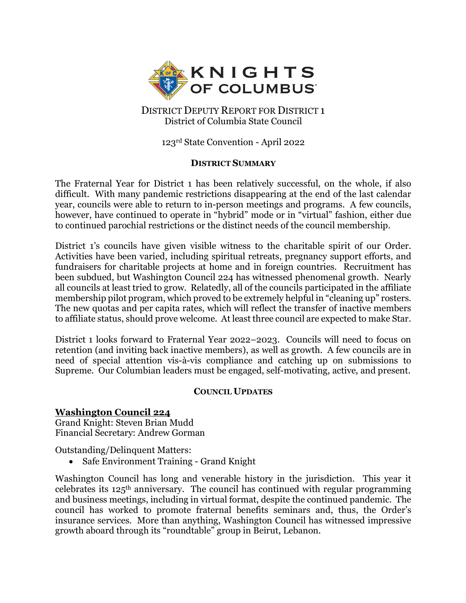

DISTRICT DEPUTY REPORT FOR DISTRICT 1 District of Columbia State Council

123rd State Convention - April 2022

#### **DISTRICT SUMMARY**

The Fraternal Year for District 1 has been relatively successful, on the whole, if also difficult. With many pandemic restrictions disappearing at the end of the last calendar year, councils were able to return to in-person meetings and programs. A few councils, however, have continued to operate in "hybrid" mode or in "virtual" fashion, either due to continued parochial restrictions or the distinct needs of the council membership.

District 1's councils have given visible witness to the charitable spirit of our Order. Activities have been varied, including spiritual retreats, pregnancy support efforts, and fundraisers for charitable projects at home and in foreign countries. Recruitment has been subdued, but Washington Council 224 has witnessed phenomenal growth. Nearly all councils at least tried to grow. Relatedly, all of the councils participated in the affiliate membership pilot program, which proved to be extremely helpful in "cleaning up" rosters. The new quotas and per capita rates, which will reflect the transfer of inactive members to affiliate status, should prove welcome. At least three council are expected to make Star.

District 1 looks forward to Fraternal Year 2022–2023. Councils will need to focus on retention (and inviting back inactive members), as well as growth. A few councils are in need of special attention vis-à-vis compliance and catching up on submissions to Supreme. Our Columbian leaders must be engaged, self-motivating, active, and present.

#### **COUNCIL UPDATES**

## **Washington Council 224**

Grand Knight: Steven Brian Mudd Financial Secretary: Andrew Gorman

Outstanding/Delinquent Matters:

• Safe Environment Training - Grand Knight

Washington Council has long and venerable history in the jurisdiction. This year it celebrates its  $125<sup>th</sup>$  anniversary. The council has continued with regular programming and business meetings, including in virtual format, despite the continued pandemic. The council has worked to promote fraternal benefits seminars and, thus, the Order's insurance services. More than anything, Washington Council has witnessed impressive growth aboard through its "roundtable" group in Beirut, Lebanon.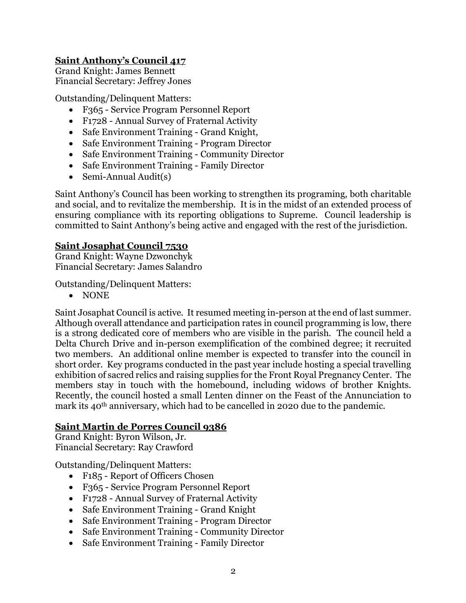# **Saint Anthony's Council 417**

Grand Knight: James Bennett Financial Secretary: Jeffrey Jones

Outstanding/Delinquent Matters:

- F365 Service Program Personnel Report
- F1728 Annual Survey of Fraternal Activity
- Safe Environment Training Grand Knight,
- Safe Environment Training Program Director
- Safe Environment Training Community Director
- Safe Environment Training Family Director
- Semi-Annual Audit(s)

Saint Anthony's Council has been working to strengthen its programing, both charitable and social, and to revitalize the membership. It is in the midst of an extended process of ensuring compliance with its reporting obligations to Supreme. Council leadership is committed to Saint Anthony's being active and engaged with the rest of the jurisdiction.

#### **Saint Josaphat Council 7530**

Grand Knight: Wayne Dzwonchyk Financial Secretary: James Salandro

Outstanding/Delinquent Matters:

• NONE

Saint Josaphat Council is active. It resumed meeting in-person at the end of last summer. Although overall attendance and participation rates in council programming is low, there is a strong dedicated core of members who are visible in the parish. The council held a Delta Church Drive and in-person exemplification of the combined degree; it recruited two members. An additional online member is expected to transfer into the council in short order. Key programs conducted in the past year include hosting a special travelling exhibition of sacred relics and raising supplies for the Front Royal Pregnancy Center. The members stay in touch with the homebound, including widows of brother Knights. Recently, the council hosted a small Lenten dinner on the Feast of the Annunciation to mark its 40<sup>th</sup> anniversary, which had to be cancelled in 2020 due to the pandemic.

#### **Saint Martin de Porres Council 9386**

Grand Knight: Byron Wilson, Jr. Financial Secretary: Ray Crawford

Outstanding/Delinquent Matters:

- F185 Report of Officers Chosen
- F365 Service Program Personnel Report
- F1728 Annual Survey of Fraternal Activity
- Safe Environment Training Grand Knight
- Safe Environment Training Program Director
- Safe Environment Training Community Director
- Safe Environment Training Family Director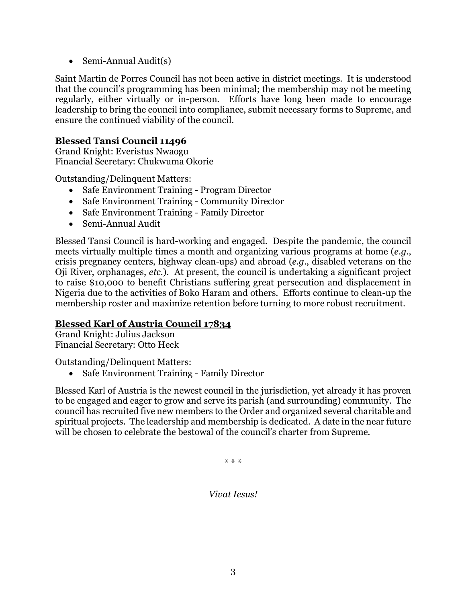• Semi-Annual Audit(s)

Saint Martin de Porres Council has not been active in district meetings. It is understood that the council's programming has been minimal; the membership may not be meeting regularly, either virtually or in-person. Efforts have long been made to encourage leadership to bring the council into compliance, submit necessary forms to Supreme, and ensure the continued viability of the council.

## **Blessed Tansi Council 11496**

Grand Knight: Everistus Nwaogu Financial Secretary: Chukwuma Okorie

Outstanding/Delinquent Matters:

- Safe Environment Training Program Director
- Safe Environment Training Community Director
- Safe Environment Training Family Director
- Semi-Annual Audit

Blessed Tansi Council is hard-working and engaged. Despite the pandemic, the council meets virtually multiple times a month and organizing various programs at home (*e.g.*, crisis pregnancy centers, highway clean-ups) and abroad (*e.g.*, disabled veterans on the Oji River, orphanages, *etc.*). At present, the council is undertaking a significant project to raise \$10,000 to benefit Christians suffering great persecution and displacement in Nigeria due to the activities of Boko Haram and others. Efforts continue to clean-up the membership roster and maximize retention before turning to more robust recruitment.

## **Blessed Karl of Austria Council 17834**

Grand Knight: Julius Jackson Financial Secretary: Otto Heck

Outstanding/Delinquent Matters:

• Safe Environment Training - Family Director

Blessed Karl of Austria is the newest council in the jurisdiction, yet already it has proven to be engaged and eager to grow and serve its parish (and surrounding) community. The council has recruited five new members to the Order and organized several charitable and spiritual projects. The leadership and membership is dedicated. A date in the near future will be chosen to celebrate the bestowal of the council's charter from Supreme.

\* \* \*

*Vivat Iesus!*